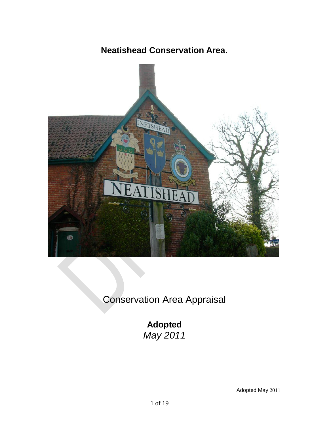# **Neatishead Conservation Area.**



Conservation Area Appraisal

**Adopted**  *May 2011*

Adopted May 2011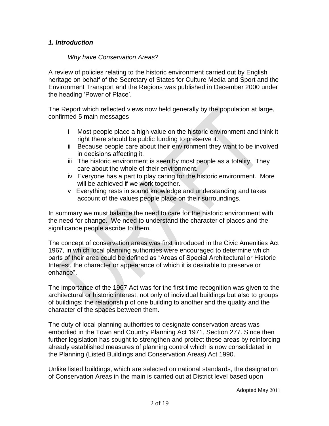## *1. Introduction*

#### *Why have Conservation Areas?*

A review of policies relating to the historic environment carried out by English heritage on behalf of the Secretary of States for Culture Media and Sport and the Environment Transport and the Regions was published in December 2000 under the heading 'Power of Place'.

The Report which reflected views now held generally by the population at large, confirmed 5 main messages

- i Most people place a high value on the historic environment and think it right there should be public funding to preserve it.
- ii Because people care about their environment they want to be involved in decisions affecting it.
- iii The historic environment is seen by most people as a totality. They care about the whole of their environment.
- iv Everyone has a part to play caring for the historic environment. More will be achieved if we work together.
- v Everything rests in sound knowledge and understanding and takes account of the values people place on their surroundings.

In summary we must balance the need to care for the historic environment with the need for change. We need to understand the character of places and the significance people ascribe to them.

The concept of conservation areas was first introduced in the Civic Amenities Act 1967, in which local planning authorities were encouraged to determine which parts of their area could be defined as "Areas of Special Architectural or Historic Interest, the character or appearance of which it is desirable to preserve or enhance".

The importance of the 1967 Act was for the first time recognition was given to the architectural or historic interest, not only of individual buildings but also to groups of buildings: the relationship of one building to another and the quality and the character of the spaces between them.

The duty of local planning authorities to designate conservation areas was embodied in the Town and Country Planning Act 1971, Section 277. Since then further legislation has sought to strengthen and protect these areas by reinforcing already established measures of planning control which is now consolidated in the Planning (Listed Buildings and Conservation Areas) Act 1990.

Unlike listed buildings, which are selected on national standards, the designation of Conservation Areas in the main is carried out at District level based upon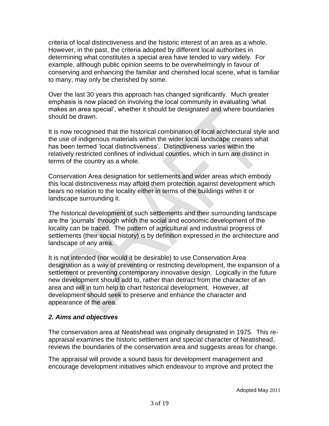criteria of local distinctiveness and the historic interest of an area as a whole. However, in the past, the criteria adopted by different local authorities in determining what constitutes a special area have tended to vary widely. For example, although public opinion seems to be overwhelmingly in favour of conserving and enhancing the familiar and cherished local scene, what is familiar to many, may only be cherished by some.

Over the last 30 years this approach has changed significantly. Much greater emphasis is now placed on involving the local community in evaluating 'what makes an area special', whether it should be designated and where boundaries should be drawn.

It is now recognised that the historical combination of local architectural style and the use of indigenous materials within the wider local landscape creates what has been termed 'local distinctiveness'. Distinctiveness varies within the relatively restricted confines of individual counties, which in turn are distinct in terms of the country as a whole.

Conservation Area designation for settlements and wider areas which embody this local distinctiveness may afford them protection against development which bears no relation to the locality either in terms of the buildings within it or landscape surrounding it.

The historical development of such settlements and their surrounding landscape are the 'journals' through which the social and economic development of the locality can be traced. The pattern of agricultural and industrial progress of settlements (their social history) is by definition expressed in the architecture and landscape of any area.

It is not intended (nor would it be desirable) to use Conservation Area designation as a way of preventing or restricting development, the expansion of a settlement or preventing contemporary innovative design. Logically in the future new development should add to, rather than detract from the character of an area and will in turn help to chart historical development. However, all development should seek to preserve and enhance the character and appearance of the area.

## *2. Aims and objectives*

The conservation area at Neatishead was originally designated in 1975. This reappraisal examines the historic settlement and special character of Neatishead, reviews the boundaries of the conservation area and suggests areas for change.

The appraisal will provide a sound basis for development management and encourage development initiatives which endeavour to improve and protect the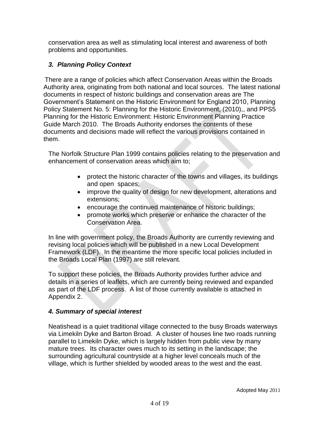conservation area as well as stimulating local interest and awareness of both problems and opportunities.

# *3. Planning Policy Context*

There are a range of policies which affect Conservation Areas within the Broads Authority area, originating from both national and local sources. The latest national documents in respect of historic buildings and conservation areas are The Government's Statement on the Historic Environment for England 2010, Planning Policy Statement No. 5: Planning for the Historic Environment, (2010),, and PPS5 Planning for the Historic Environment: Historic Environment Planning Practice Guide March 2010. The Broads Authority endorses the contents of these documents and decisions made will reflect the various provisions contained in them.

The Norfolk Structure Plan 1999 contains policies relating to the preservation and enhancement of conservation areas which aim to;

- protect the historic character of the towns and villages, its buildings and open spaces;
- improve the quality of design for new development, alterations and extensions;
- encourage the continued maintenance of historic buildings;
- promote works which preserve or enhance the character of the Conservation Area.

In line with government policy, the Broads Authority are currently reviewing and revising local policies which will be published in a new Local Development Framework (LDF). In the meantime the more specific local policies included in the Broads Local Plan (1997) are still relevant.

To support these policies, the Broads Authority provides further advice and details in a series of leaflets, which are currently being reviewed and expanded as part of the LDF process. A list of those currently available is attached in Appendix 2.

## *4. Summary of special interest*

Neatishead is a quiet traditional village connected to the busy Broads waterways via Limekiln Dyke and Barton Broad. A cluster of houses line two roads running parallel to Limekiln Dyke, which is largely hidden from public view by many mature trees. Its character owes much to its setting in the landscape; the surrounding agricultural countryside at a higher level conceals much of the village, which is further shielded by wooded areas to the west and the east.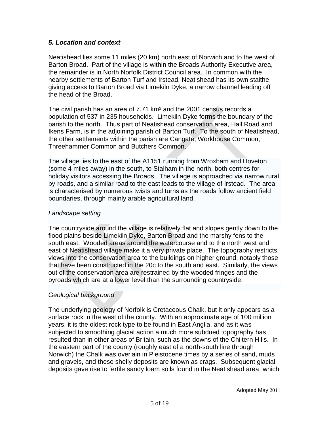#### *5. Location and context*

Neatishead lies some 11 miles (20 km) north east of Norwich and to the west of Barton Broad. Part of the village is within the Broads Authority Executive area, the remainder is in North Norfolk District Council area. In common with the nearby settlements of Barton Turf and Irstead, Neatishead has its own staithe giving access to Barton Broad via Limekiln Dyke, a narrow channel leading off the head of the Broad.

The civil parish has an area of 7.71 km² and the 2001 census records a population of 537 in 235 households. Limekiln Dyke forms the boundary of the parish to the north. Thus part of Neatishead conservation area, Hall Road and Ikens Farm, is in the adjoining parish of Barton Turf*.* To the south of Neatishead, the other settlements within the parish are Cangate, Workhouse Common, Threehammer Common and Butchers Common.

The village lies to the east of the A1151 running from Wroxham and Hoveton (some 4 miles away) in the south, to Stalham in the north, both centres for holiday visitors accessing the Broads. The village is approached via narrow rural by-roads, and a similar road to the east leads to the village of Irstead. The area is characterised by numerous twists and turns as the roads follow ancient field boundaries, through mainly arable agricultural land.

#### *Landscape setting*

The countryside around the village is relatively flat and slopes gently down to the flood plains beside Limekiln Dyke, Barton Broad and the marshy fens to the south east. Wooded areas around the watercourse and to the north west and east of Neatishead village make it a very private place. The topography restricts views into the conservation area to the buildings on higher ground, notably those that have been constructed in the 20c to the south and east. Similarly, the views out of the conservation area are restrained by the wooded fringes and the byroads which are at a lower level than the surrounding countryside.

## *Geological background*

The underlying geology of Norfolk is Cretaceous Chalk, but it only appears as a surface rock in the west of the county. With an approximate age of 100 million years, it is the oldest rock type to be found in East Anglia, and as it was subjected to smoothing glacial action a much more subdued topography has resulted than in other areas of Britain, such as the downs of the Chiltern Hills. In the eastern part of the county (roughly east of a north-south line through Norwich) the Chalk was overlain in Pleistocene times by a series of sand, muds and gravels, and these shelly deposits are known as crags. Subsequent glacial deposits gave rise to fertile sandy loam soils found in the Neatishead area, which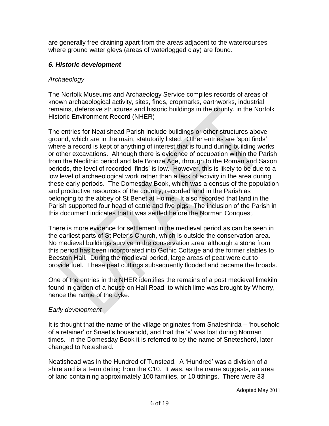are generally free draining apart from the areas adjacent to the watercourses where ground water gleys (areas of waterlogged clay) are found.

## *6. Historic development*

## *Archaeology*

The Norfolk Museums and Archaeology Service compiles records of areas of known archaeological activity, sites, finds, cropmarks, earthworks, industrial remains, defensive structures and historic buildings in the county, in the Norfolk Historic Environment Record (NHER)

The entries for Neatishead Parish include buildings or other structures above ground, which are in the main, statutorily listed. Other entries are 'spot finds' where a record is kept of anything of interest that is found during building works or other excavations. Although there is evidence of occupation within the Parish from the Neolithic period and late Bronze Age, through to the Roman and Saxon periods, the level of recorded 'finds' is low. However, this is likely to be due to a low level of archaeological work rather than a lack of activity in the area during these early periods. The Domesday Book, which was a census of the population and productive resources of the country, recorded land in the Parish as belonging to the abbey of St Benet at Holme. It also recorded that land in the Parish supported four head of cattle and five pigs. The inclusion of the Parish in this document indicates that it was settled before the Norman Conquest.

There is more evidence for settlement in the medieval period as can be seen in the earliest parts of St Peter's Church, which is outside the conservation area. No medieval buildings survive in the conservation area, although a stone from this period has been incorporated into Gothic Cottage and the former stables to Beeston Hall. During the medieval period, large areas of peat were cut to provide fuel. These peat cuttings subsequently flooded and became the broads.

One of the entries in the NHER identifies the remains of a post medieval limekiln found in garden of a house on Hall Road, to which lime was brought by Wherry, hence the name of the dyke.

## *Early development*

It is thought that the name of the village originates from Snateshirda – 'household of a retainer' or Snaet's household, and that the 's' was lost during Norman times. In the Domesday Book it is referred to by the name of Snetesherd, later changed to Netesherd.

Neatishead was in the Hundred of Tunstead. A 'Hundred' was a division of a shire and is a term dating from the C10. It was, as the name suggests, an area of land containing approximately 100 families, or 10 tithings. There were 33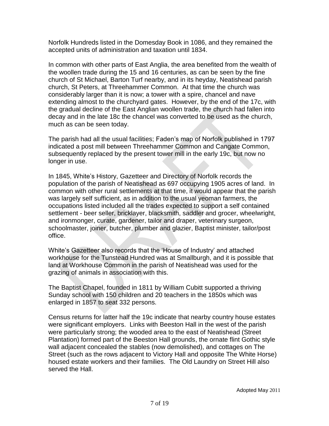Norfolk Hundreds listed in the Domesday Book in 1086, and they remained the accepted units of administration and taxation until 1834.

In common with other parts of East Anglia, the area benefited from the wealth of the woollen trade during the 15 and 16 centuries, as can be seen by the fine church of St Michael, Barton Turf nearby, and in its heyday, Neatishead parish church, St Peters, at Threehammer Common. At that time the church was considerably larger than it is now; a tower with a spire, chancel and nave extending almost to the churchyard gates. However, by the end of the 17c, with the gradual decline of the East Anglian woollen trade, the church had fallen into decay and in the late 18c the chancel was converted to be used as the church, much as can be seen today.

The parish had all the usual facilities; Faden's map of Norfolk published in 1797 indicated a post mill between Threehammer Common and Cangate Common, subsequently replaced by the present tower mill in the early 19c, but now no longer in use.

In 1845, White's History, Gazetteer and Directory of Norfolk records the population of the parish of Neatishead as 697 occupying 1905 acres of land. In common with other rural settlements at that time, it would appear that the parish was largely self sufficient, as in addition to the usual yeoman farmers, the occupations listed included all the trades expected to support a self contained settlement - beer seller, bricklayer, blacksmith, saddler and grocer, wheelwright, and ironmonger, curate, gardener, tailor and draper, veterinary surgeon, schoolmaster, joiner, butcher, plumber and glazier, Baptist minister, tailor/post office.

White's Gazetteer also records that the 'House of Industry' and attached workhouse for the Tunstead Hundred was at Smallburgh, and it is possible that land at Workhouse Common in the parish of Neatishead was used for the grazing of animals in association with this.

The Baptist Chapel, founded in 1811 by William Cubitt supported a thriving Sunday school with 150 children and 20 teachers in the 1850s which was enlarged in 1857 to seat 332 persons.

Census returns for latter half the 19c indicate that nearby country house estates were significant employers. Links with Beeston Hall in the west of the parish were particularly strong; the wooded area to the east of Neatishead (Street Plantation) formed part of the Beeston Hall grounds, the ornate flint Gothic style wall adjacent concealed the stables (now demolished), and cottages on The Street (such as the rows adjacent to Victory Hall and opposite The White Horse) housed estate workers and their families. The Old Laundry on Street Hill also served the Hall.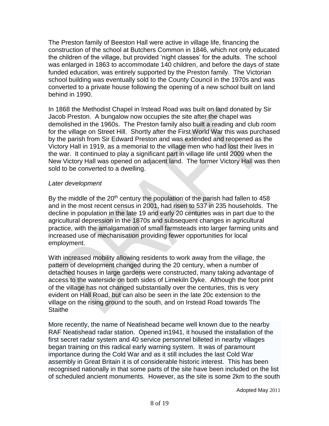The Preston family of Beeston Hall were active in village life, financing the construction of the school at Butchers Common in 1846, which not only educated the children of the village, but provided 'night classes' for the adults. The school was enlarged in 1863 to accommodate 140 children, and before the days of state funded education, was entirely supported by the Preston family. The Victorian school building was eventually sold to the County Council in the 1970s and was converted to a private house following the opening of a new school built on land behind in 1990.

In 1868 the Methodist Chapel in Irstead Road was built on land donated by Sir Jacob Preston. A bungalow now occupies the site after the chapel was demolished in the 1960s. The Preston family also built a reading and club room for the village on Street Hill. Shortly after the First World War this was purchased by the parish from Sir Edward Preston and was extended and reopened as the Victory Hall in 1919, as a memorial to the village men who had lost their lives in the war. It continued to play a significant part in village life until 2009 when the New Victory Hall was opened on adjacent land. The former Victory Hall was then sold to be converted to a dwelling.

#### *Later development*

By the middle of the  $20<sup>th</sup>$  century the population of the parish had fallen to 458 and in the most recent census in 2001, had risen to 537 in 235 households. The decline in population in the late 19 and early 20 centuries was in part due to the agricultural depression in the 1870s and subsequent changes in agricultural practice, with the amalgamation of small farmsteads into larger farming units and increased use of mechanisation providing fewer opportunities for local employment.

With increased mobility allowing residents to work away from the village, the pattern of development changed during the 20 century, when a number of detached houses in large gardens were constructed, many taking advantage of access to the waterside on both sides of Limekiln Dyke. Although the foot print of the village has not changed substantially over the centuries, this is very evident on Hall Road, but can also be seen in the late 20c extension to the village on the rising ground to the south, and on Irstead Road towards The **Staithe** 

More recently, the name of Neatishead became well known due to the nearby [RAF Neatishead](http://en.wikipedia.org/wiki/RAF_Neatishead) radar station. Opened in1941, it housed the installation of the first secret radar system and 40 service personnel billeted in nearby villages began training on this radical early warning system. It was of paramount importance during the Cold War and as it still includes the last Cold War assembly in Great Britain it is of considerable historic interest. This has been recognised nationally in that some parts of the site have been included on the list of scheduled ancient monuments. However, as the site is some 2km to the south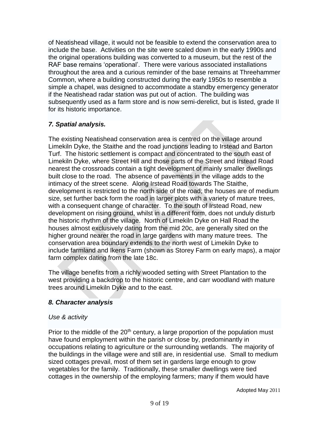of Neatishead village, it would not be feasible to extend the conservation area to include the base. Activities on the site were scaled down in the early 1990s and the original operations building was converted to a museum, but the rest of the RAF base remains 'operational'. There were various associated installations throughout the area and a curious reminder of the base remains at Threehammer Common, where a building constructed during the early 1950s to resemble a simple a chapel, was designed to accommodate a standby emergency generator if the Neatishead radar station was put out of action. The building was subsequently used as a farm store and is now semi-derelict, but is listed, grade II for its historic importance.

## *7. Spatial analysis.*

The existing Neatishead conservation area is centred on the village around Limekiln Dyke, the Staithe and the road junctions leading to Irstead and Barton Turf. The historic settlement is compact and concentrated to the south east of Limekiln Dyke, where Street Hill and those parts of the Street and Irstead Road nearest the crossroads contain a tight development of mainly smaller dwellings built close to the road. The absence of pavements in the village adds to the intimacy of the street scene. Along Irstead Road towards The Staithe, development is restricted to the north side of the road; the houses are of medium size, set further back form the road in larger plots with a variety of mature trees, with a consequent change of character. To the south of Irstead Road, new development on rising ground, whilst in a different form, does not unduly disturb the historic rhythm of the village. North of Limekiln Dyke on Hall Road the houses almost exclusively dating from the mid 20c, are generally sited on the higher ground nearer the road in large gardens with many mature trees. The conservation area boundary extends to the north west of Limekiln Dyke to include farmland and Ikens Farm (shown as Storey Farm on early maps), a major farm complex dating from the late 18c.

The village benefits from a richly wooded setting with Street Plantation to the west providing a backdrop to the historic centre, and carr woodland with mature trees around Limekiln Dyke and to the east.

## *8. Character analysis*

## *Use & activity*

Prior to the middle of the  $20<sup>th</sup>$  century, a large proportion of the population must have found employment within the parish or close by, predominantly in occupations relating to agriculture or the surrounding wetlands. The majority of the buildings in the village were and still are, in residential use. Small to medium sized cottages prevail, most of them set in gardens large enough to grow vegetables for the family. Traditionally, these smaller dwellings were tied cottages in the ownership of the employing farmers; many if them would have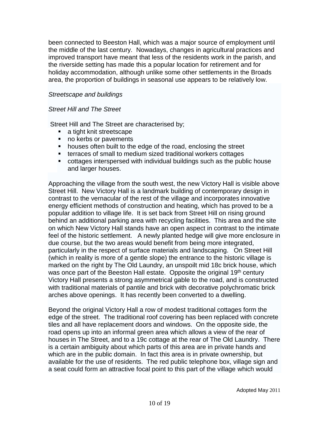been connected to Beeston Hall, which was a major source of employment until the middle of the last century.Nowadays, changes in agricultural practices and improved transport have meant that less of the residents work in the parish, and the riverside setting has made this a popular location for retirement and for holiday accommodation, although unlike some other settlements in the Broads area, the proportion of buildings in seasonal use appears to be relatively low.

#### *Streetscape and buildings*

#### *Street Hill and The Street*

Street Hill and The Street are characterised by;

- **a** tight knit streetscape
- no kerbs or pavements
- **houses often built to the edge of the road, enclosing the street**
- terraces of small to medium sized traditional workers cottages
- cottages interspersed with individual buildings such as the public house and larger houses.

Approaching the village from the south west, the new Victory Hall is visible above Street Hill. New Victory Hall is a landmark building of contemporary design in contrast to the vernacular of the rest of the village and incorporates innovative energy efficient methods of construction and heating, which has proved to be a popular addition to village life. It is set back from Street Hill on rising ground behind an additional parking area with recycling facilities. This area and the site on which New Victory Hall stands have an open aspect in contrast to the intimate feel of the historic settlement. A newly planted hedge will give more enclosure in due course, but the two areas would benefit from being more integrated, particularly in the respect of surface materials and landscaping. On Street Hill (which in reality is more of a gentle slope) the entrance to the historic village is marked on the right by The Old Laundry, an unspoilt mid 18c brick house, which was once part of the Beeston Hall estate. Opposite the original 19<sup>th</sup> century Victory Hall presents a strong asymmetrical gable to the road, and is constructed with traditional materials of pantile and brick with decorative polychromatic brick arches above openings. It has recently been converted to a dwelling.

Beyond the original Victory Hall a row of modest traditional cottages form the edge of the street. The traditional roof covering has been replaced with concrete tiles and all have replacement doors and windows. On the opposite side, the road opens up into an informal green area which allows a view of the rear of houses in The Street, and to a 19c cottage at the rear of The Old Laundry. There is a certain ambiguity about which parts of this area are in private hands and which are in the public domain. In fact this area is in private ownership, but available for the use of residents. The red public telephone box, village sign and a seat could form an attractive focal point to this part of the village which would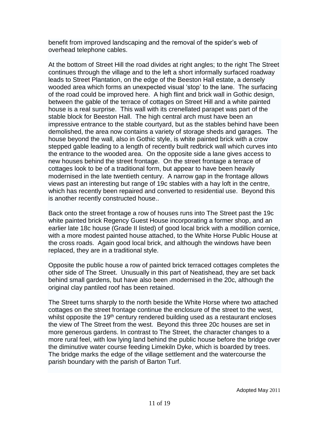benefit from improved landscaping and the removal of the spider's web of overhead telephone cables.

At the bottom of Street Hill the road divides at right angles; to the right The Street continues through the village and to the left a short informally surfaced roadway leads to Street Plantation, on the edge of the Beeston Hall estate, a densely wooded area which forms an unexpected visual 'stop' to the lane. The surfacing of the road could be improved here. A high flint and brick wall in Gothic design, between the gable of the terrace of cottages on Street Hill and a white painted house is a real surprise. This wall with its crenellated parapet was part of the stable block for Beeston Hall. The high central arch must have been an impressive entrance to the stable courtyard, but as the stables behind have been demolished, the area now contains a variety of storage sheds and garages. The house beyond the wall, also in Gothic style, is white painted brick with a crow stepped gable leading to a length of recently built redbrick wall which curves into the entrance to the wooded area. On the opposite side a lane gives access to new houses behind the street frontage. On the street frontage a terrace of cottages look to be of a traditional form, but appear to have been heavily modernised in the late twentieth century. A narrow gap in the frontage allows views past an interesting but range of 19c stables with a hay loft in the centre, which has recently been repaired and converted to residential use. Beyond this is another recently constructed house..

Back onto the street frontage a row of houses runs into The Street past the 19c white painted brick Regency Guest House incorporating a former shop, and an earlier late 18c house (Grade II listed) of good local brick with a modillion cornice, with a more modest painted house attached, to the White Horse Public House at the cross roads. Again good local brick, and although the windows have been replaced, they are in a traditional style.

Opposite the public house a row of painted brick terraced cottages completes the other side of The Street. Unusually in this part of Neatishead, they are set back behind small gardens, but have also been .modernised in the 20c, although the original clay pantiled roof has been retained.

The Street turns sharply to the north beside the White Horse where two attached cottages on the street frontage continue the enclosure of the street to the west, whilst opposite the 19<sup>th</sup> century rendered building used as a restaurant encloses the view of The Street from the west. Beyond this three 20c houses are set in more generous gardens. In contrast to The Street, the character changes to a more rural feel, with low lying land behind the public house before the bridge over the diminutive water course feeding Limekiln Dyke, which is boarded by trees. The bridge marks the edge of the village settlement and the watercourse the parish boundary with the parish of Barton Turf.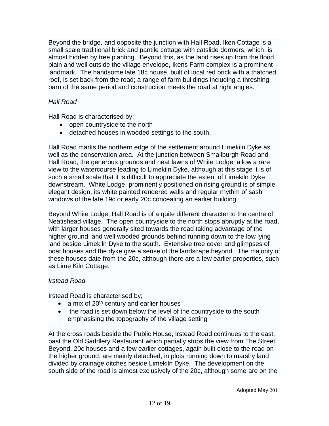Beyond the bridge, and opposite the junction with Hall Road, Iken Cottage is a small scale traditional brick and pantile cottage with catslide dormers, which, is almost hidden by tree planting. Beyond this, as the land rises up from the flood plain and well outside the village envelope, Ikens Farm complex is a prominent landmark. The handsome late 18c house, built of local red brick with a thatched roof, is set back from the road; a range of farm buildings including a threshing barn of the same period and construction meets the road at right angles.

#### *Hall Road*

Hall Road is characterised by;

- open countryside to the north
- detached houses in wooded settings to the south.

Hall Road marks the northern edge of the settlement around Limekiln Dyke as well as the conservation area. At the junction between Smallburgh Road and Hall Road, the generous grounds and neat lawns of White Lodge, allow a rare view to the watercourse leading to Limekiln Dyke, although at this stage it is of such a small scale that it is difficult to appreciate the extent of Limekiln Dyke downstream. White Lodge, prominently positioned on rising ground is of simple elegant design, its white painted rendered walls and regular rhythm of sash windows of the late 19c or early 20c concealing an earlier building.

Beyond White Lodge, Hall Road is of a quite different character to the centre of Neatishead village. The open countryside to the north stops abruptly at the road, with larger houses generally sited towards the road taking advantage of the higher ground, and well wooded grounds behind running down to the low lying land beside Limekiln Dyke to the south. Extensive tree cover and glimpses of boat houses and the dyke give a sense of the landscape beyond. The majority of these houses date from the 20c, although there are a few earlier properties, such as Lime Kiln Cottage.

## *Irstead Road*

Irstead Road is characterised by;

- $\bullet$  a mix of 20<sup>th</sup> century and earlier houses
- the road is set down below the level of the countryside to the south emphasising the topography of the village setting

At the cross roads beside the Public House, Irstead Road continues to the east, past the Old Saddlery Restaurant which partially stops the view from The Street. Beyond, 20c houses and a few earlier cottages, again built close to the road on the higher ground, are mainly detached, in plots running down to marshy land divided by drainage ditches beside Limekiln Dyke. The development on the south side of the road is almost exclusively of the 20c, although some are on the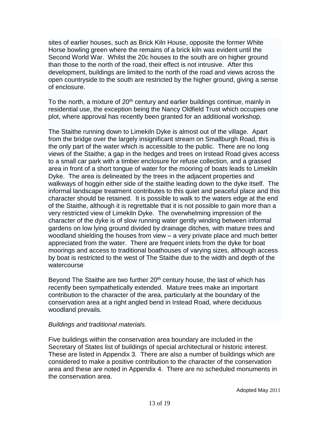sites of earlier houses, such as Brick Kiln House, opposite the former White Horse bowling green where the remains of a brick kiln was evident until the Second World War. Whilst the 20c houses to the south are on higher ground than those to the north of the road, their effect is not intrusive. After this development, buildings are limited to the north of the road and views across the open countryside to the south are restricted by the higher ground, giving a sense of enclosure.

To the north, a mixture of  $20<sup>th</sup>$  century and earlier buildings continue, mainly in residential use, the exception being the Nancy Oldfield Trust which occupies one plot, where approval has recently been granted for an additional workshop.

The Staithe running down to Limekiln Dyke is almost out of the village. Apart from the bridge over the largely insignificant stream on Smallburgh Road, this is the only part of the water which is accessible to the public. There are no long views of the Staithe; a gap in the hedges and trees on Irstead Road gives access to a small car park with a timber enclosure for refuse collection, and a grassed area in front of a short tongue of water for the mooring of boats leads to Limekiln Dyke. The area is delineated by the trees in the adjacent properties and walkways of hoggin either side of the staithe leading down to the dyke itself. The informal landscape treatment contributes to this quiet and peaceful place and this character should be retained. It is possible to walk to the waters edge at the end of the Staithe, although it is regrettable that it is not possible to gain more than a very restricted view of Limekiln Dyke. The overwhelming impression of the character of the dyke is of slow running water gently winding between informal gardens on low lying ground divided by drainage ditches, with mature trees and woodland shielding the houses from view – a very private place and much better appreciated from the water. There are frequent inlets from the dyke for boat moorings and access to traditional boathouses of varying sizes, although access by boat is restricted to the west of The Staithe due to the width and depth of the watercourse

Beyond The Staithe are two further  $20<sup>th</sup>$  century house, the last of which has recently been sympathetically extended. Mature trees make an important contribution to the character of the area, particularly at the boundary of the conservation area at a right angled bend in Irstead Road, where deciduous woodland prevails.

#### *Buildings and traditional materials.*

Five buildings within the conservation area boundary are included in the Secretary of States list of buildings of special architectural or historic interest. These are listed in Appendix 3*.* There are also a number of buildings which are considered to make a positive contribution to the character of the conservation area and these are noted in Appendix 4. There are no scheduled monuments in the conservation area.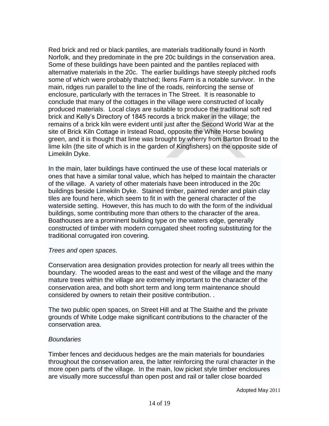Red brick and red or black pantiles, are materials traditionally found in North Norfolk, and they predominate in the pre 20c buildings in the conservation area. Some of these buildings have been painted and the pantiles replaced with alternative materials in the 20c. The earlier buildings have steeply pitched roofs some of which were probably thatched; Ikens Farm is a notable survivor. In the main, ridges run parallel to the line of the roads, reinforcing the sense of enclosure, particularly with the terraces in The Street. It is reasonable to conclude that many of the cottages in the village were constructed of locally produced materials. Local clays are suitable to produce the traditional soft red brick and Kelly's Directory of 1845 records a brick maker in the village; the remains of a brick kiln were evident until just after the Second World War at the site of Brick Kiln Cottage in Irstead Road, opposite the White Horse bowling green, and it is thought that lime was brought by wherry from Barton Broad to the lime kiln (the site of which is in the garden of Kingfishers) on the opposite side of Limekiln Dyke.

In the main, later buildings have continued the use of these local materials or ones that have a similar tonal value, which has helped to maintain the character of the village. A variety of other materials have been introduced in the 20c buildings beside Limekiln Dyke. Stained timber, painted render and plain clay tiles are found here, which seem to fit in with the general character of the waterside setting. However, this has much to do with the form of the individual buildings, some contributing more than others to the character of the area. Boathouses are a prominent building type on the waters edge, generally constructed of timber with modern corrugated sheet roofing substituting for the traditional corrugated iron covering.

#### *Trees and open spaces.*

Conservation area designation provides protection for nearly all trees within the boundary. The wooded areas to the east and west of the village and the many mature trees within the village are extremely important to the character of the conservation area, and both short term and long term maintenance should considered by owners to retain their positive contribution. .

The two public open spaces, on Street Hill and at The Staithe and the private grounds of White Lodge make significant contributions to the character of the conservation area.

#### *Boundaries*

Timber fences and deciduous hedges are the main materials for boundaries throughout the conservation area, the latter reinforcing the rural character in the more open parts of the village. In the main, low picket style timber enclosures are visually more successful than open post and rail or taller close boarded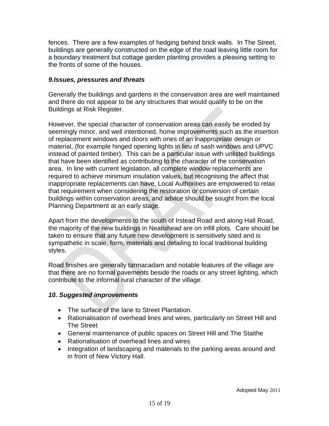fences. There are a few examples of hedging behind brick walls. In The Street, buildings are generally constructed on the edge of the road leaving little room for a boundary treatment but cottage garden planting provides a pleasing setting to the fronts of some of the houses.

#### *9.Issues, pressures and threats*

Generally the buildings and gardens in the conservation area are well maintained and there do not appear to be any structures that would qualify to be on the Buildings at Risk Register.

However, the special character of conservation areas can easily be eroded by seemingly minor, and well intentioned, home improvements such as the insertion of replacement windows and doors with ones of an inappropriate design or material, (for example hinged opening lights in lieu of sash windows and UPVC instead of painted timber). This can be a particular issue with unlisted buildings that have been identified as contributing to the character of the conservation area. In line with current legislation, all complete window replacements are required to achieve minimum insulation values, but recognising the affect that inappropriate replacements can have, Local Authorities are empowered to relax that requirement when considering the restoration or conversion of certain buildings within conservation areas, and advice should be sought from the local Planning Department at an early stage.

Apart from the developments to the south of Irstead Road and along Hall Road, the majority of the new buildings in Neatishead are on infill plots. Care should be taken to ensure that any future new development is sensitively sited and is sympathetic in scale, form, materials and detailing to local traditional building styles.

Road finishes are generally tarmacadam and notable features of the village are that there are no formal pavements beside the roads or any street lighting, which contribute to the informal rural character of the village.

## *10. Suggested improvements*

- The surface of the lane to Street Plantation.
- Rationalisation of overhead lines and wires, particularly on Street Hill and The Street
- General maintenance of public spaces on Street Hill and The Staithe
- Rationalisation of overhead lines and wires
- Integration of landscaping and materials to the parking areas around and in front of New Victory Hall.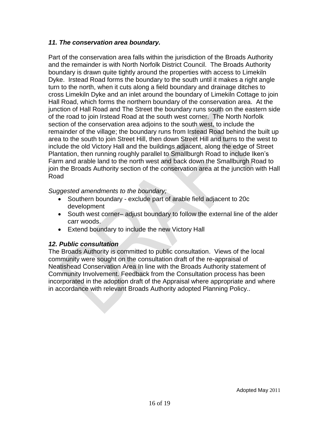## *11. The conservation area boundary.*

Part of the conservation area falls within the jurisdiction of the Broads Authority and the remainder is with North Norfolk District Council. The Broads Authority boundary is drawn quite tightly around the properties with access to Limekiln Dyke. Irstead Road forms the boundary to the south until it makes a right angle turn to the north, when it cuts along a field boundary and drainage ditches to cross Limekiln Dyke and an inlet around the boundary of Limekiln Cottage to join Hall Road, which forms the northern boundary of the conservation area. At the junction of Hall Road and The Street the boundary runs south on the eastern side of the road to join Irstead Road at the south west corner. The North Norfolk section of the conservation area adjoins to the south west, to include the remainder of the village; the boundary runs from Irstead Road behind the built up area to the south to join Street Hill, then down Street Hill and turns to the west to include the old Victory Hall and the buildings adjacent, along the edge of Street Plantation, then running roughly parallel to Smallburgh Road to include Iken's Farm and arable land to the north west and back down the Smallburgh Road to join the Broads Authority section of the conservation area at the junction with Hall Road

*Suggested amendments to the boundary;*

- Southern boundary exclude part of arable field adjacent to 20c development
- South west corner– adjust boundary to follow the external line of the alder carr woods.
- Extend boundary to include the new Victory Hall

#### *12. Public consultation*

The Broads Authority is committed to public consultation. Views of the local community were sought on the consultation draft of the re-appraisal of Neatishead Conservation Area In line with the Broads Authority statement of Community Involvement. Feedback from the Consultation process has been incorporated in the adoption draft of the Appraisal where appropriate and where in accordance with relevant Broads Authority adopted Planning Policy..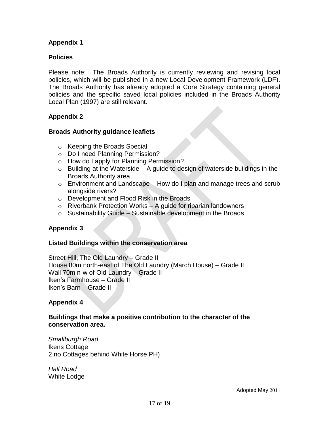## **Appendix 1**

#### **Policies**

Please note: The Broads Authority is currently reviewing and revising local policies, which will be published in a new Local Development Framework (LDF). The Broads Authority has already adopted a Core Strategy containing general policies and the specific saved local policies included in the Broads Authority Local Plan (1997) are still relevant.

#### **Appendix 2**

#### **Broads Authority guidance leaflets**

- o Keeping the Broads Special
- o Do I need Planning Permission?
- o How do I apply for Planning Permission?
- $\circ$  Building at the Waterside A guide to design of waterside buildings in the Broads Authority area
- $\circ$  Environment and Landscape How do I plan and manage trees and scrub alongside rivers?
- o Development and Flood Risk in the Broads
- $\circ$  Riverbank Protection Works A guide for riparian landowners
- $\circ$  Sustainability Guide Sustainable development in the Broads

## **Appendix 3**

#### **Listed Buildings within the conservation area**

Street Hill, The Old Laundry – Grade II House 80m north-east of The Old Laundry (March House) – Grade II Wall 70m n-w of Old Laundry – Grade II Iken's Farmhouse – Grade II Iken's Barn – Grade II

## **Appendix 4**

#### **Buildings that make a positive contribution to the character of the conservation area.**

*Smallburgh Road* Ikens Cottage 2 no Cottages behind White Horse PH)

*Hall Road* White Lodge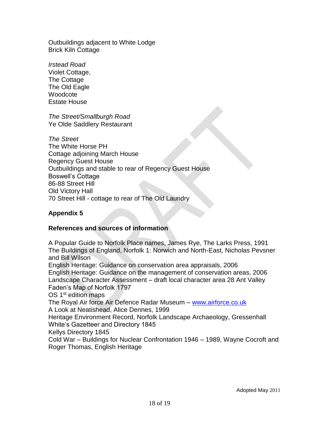Outbuildings adjacent to White Lodge Brick Kiln Cottage

*Irstead Road* Violet Cottage, The Cottage The Old Eagle **Woodcote** Estate House

*The Street/Smallburgh Road* Ye Olde Saddlery Restaurant

*The Street* The White Horse PH Cottage adjoining March House Regency Guest House Outbuildings and stable to rear of Regency Guest House Boswell's Cottage 86-88 Street Hill Old Victory Hall 70 Street Hill - cottage to rear of The Old Laundry

## **Appendix 5**

#### **References and sources of information**

A Popular Guide to Norfolk Place names, James Rye, The Larks Press, 1991 The Buildings of England, Norfolk 1: Norwich and North-East, Nicholas Pevsner and Bill Wilson English Heritage: Guidance on conservation area appraisals, 2006 English Heritage: Guidance on the management of conservation areas, 2006 Landscape Character Assessment – draft local character area 28 Ant Valley Faden's Map of Norfolk 1797 OS 1<sup>st</sup> edition maps The Royal Air force Air Defence Radar Museum – [www.airforce.co.uk](http://www.airforce.co.uk/) A Look at Neatishead, Alice Dennes, 1999 Heritage Environment Record, Norfolk Landscape Archaeology, Gressenhall White's Gazetteer and Directory 1845 Kellys Directory 1845 Cold War – Buildings for Nuclear Confrontation 1946 – 1989, Wayne Cocroft and Roger Thomas, English Heritage